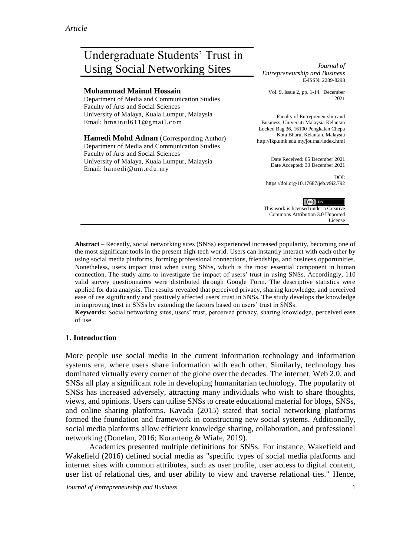# Undergraduate Students' Trust in Using Social Networking Sites *Journal of*

#### **Mohammad Mainul Hossain**

Department of Media and Communication Studies Faculty of Arts and Social Sciences University of Malaya, Kuala Lumpur, Malaysia Email: [hmainul611@gmail.com](mailto:hmainul611@gmail.com)

**Hamedi Mohd Adnan** (Corresponding Author) Department of Media and Communication Studies Faculty of Arts and Social Sciences University of Malaya, Kuala Lumpur, Malaysia Email: [hamedi@um.edu.my](mailto:hamedi@um.edu.my)

*Entrepreneurship and Business* E-ISSN: 2289-8298

Vol. 9, Issue 2, pp. 1-14. December 2021

Faculty of Entrepreneurship and Business, Universiti Malaysia Kelantan Locked Bag 36, 16100 Pengkalan Chepa Kota Bharu, Kelantan, Malaysia http://fkp.umk.edu.my/journal/index.html

> Date Received: 05 December 2021 Date Accepted: 30 December 2021

DOI: https://doi.org/10.17687/jeb.v9i2.792

 $(cc)$  BY This work is licensed under a Creative Commons Attribution 3.0 Unported License

**Abstract** – Recently, social networking sites (SNSs) experienced increased popularity, becoming one of the most significant tools in the present high-tech world. Users can instantly interact with each other by using social media platforms, forming professional connections, friendships, and business opportunities. Nonetheless, users impact trust when using SNSs, which is the most essential component in human connection. The study aims to investigate the impact of users' trust in using SNSs. Accordingly, 110 valid survey questionnaires were distributed through Google Form. The descriptive statistics were applied for data analysis. The results revealed that perceived privacy, sharing knowledge, and perceived ease of use significantly and positively affected users' trust in SNSs. The study develops the knowledge in improving trust in SNSs by extending the factors based on users' trust in SNSs.

**Keywords:** Social networking sites, users' trust, perceived privacy, sharing knowledge, perceived ease of use

## **1. Introduction**

More people use social media in the current information technology and information systems era, where users share information with each other. Similarly, technology has dominated virtually every corner of the globe over the decades. The internet, Web 2.0, and SNSs all play a significant role in developing humanitarian technology. The popularity of SNSs has increased adversely, attracting many individuals who wish to share thoughts, views, and opinions. Users can utilise SNSs to create educational material for blogs, SNSs, and online sharing platforms. Kavada (2015) stated that social networking platforms formed the foundation and framework in constructing new social systems. Additionally, social media platforms allow efficient knowledge sharing, collaboration, and professional networking (Donelan, 2016; Koranteng & Wiafe, 2019).

Academics presented multiple definitions for SNSs. For instance, Wakefield and Wakefield (2016) defined social media as "specific types of social media platforms and internet sites with common attributes, such as user profile, user access to digital content, user list of relational ties, and user ability to view and traverse relational ties." Hence,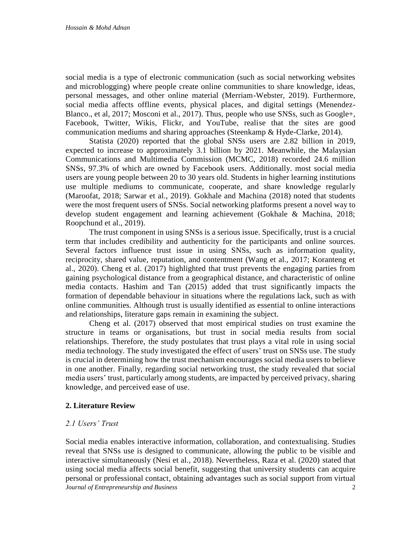social media is a type of electronic communication (such as social networking websites and microblogging) where people create online communities to share knowledge, ideas, personal messages, and other online material (Merriam-Webster, 2019). Furthermore, social media affects offline events, physical places, and digital settings (Menendez-Blanco., et al, 2017; Mosconi et al., 2017). Thus, people who use SNSs, such as Google+, Facebook, Twitter, Wikis, Flickr, and YouTube, realise that the sites are good communication mediums and sharing approaches (Steenkamp & Hyde-Clarke, 2014).

Statista (2020) reported that the global SNSs users are 2.82 billion in 2019, expected to increase to approximately 3.1 billion by 2021. Meanwhile, the Malaysian Communications and Multimedia Commission (MCMC, 2018) recorded 24.6 million SNSs, 97.3% of which are owned by Facebook users. Additionally. most social media users are young people between 20 to 30 years old. Students in higher learning institutions use multiple mediums to communicate, cooperate, and share knowledge regularly (Maroofat, 2018; Sarwar et al., 2019). Gokhale and Machina (2018) noted that students were the most frequent users of SNSs. Social networking platforms present a novel way to develop student engagement and learning achievement (Gokhale & Machina, 2018; Roopchund et al., 2019).

The trust component in using SNSs is a serious issue. Specifically, trust is a crucial term that includes credibility and authenticity for the participants and online sources. Several factors influence trust issue in using SNSs, such as information quality, reciprocity, shared value, reputation, and contentment (Wang et al., 2017; Koranteng et al., 2020). Cheng et al. (2017) highlighted that trust prevents the engaging parties from gaining psychological distance from a geographical distance, and characteristic of online media contacts. Hashim and Tan (2015) added that trust significantly impacts the formation of dependable behaviour in situations where the regulations lack, such as with online communities. Although trust is usually identified as essential to online interactions and relationships, literature gaps remain in examining the subject.

Cheng et al. (2017) observed that most empirical studies on trust examine the structure in teams or organisations, but trust in social media results from social relationships. Therefore, the study postulates that trust plays a vital role in using social media technology. The study investigated the effect of users' trust on SNSs use. The study is crucial in determining how the trust mechanism encourages social media users to believe in one another. Finally, regarding social networking trust, the study revealed that social media users' trust, particularly among students, are impacted by perceived privacy, sharing knowledge, and perceived ease of use.

## **2. Literature Review**

#### *2.1 Users' Trust*

*Journal of Entrepreneurship and Business* 2 Social media enables interactive information, collaboration, and contextualising. Studies reveal that SNSs use is designed to communicate, allowing the public to be visible and interactive simultaneously (Nesi et al., 2018). Nevertheless, Raza et al. (2020) stated that using social media affects social benefit, suggesting that university students can acquire personal or professional contact, obtaining advantages such as social support from virtual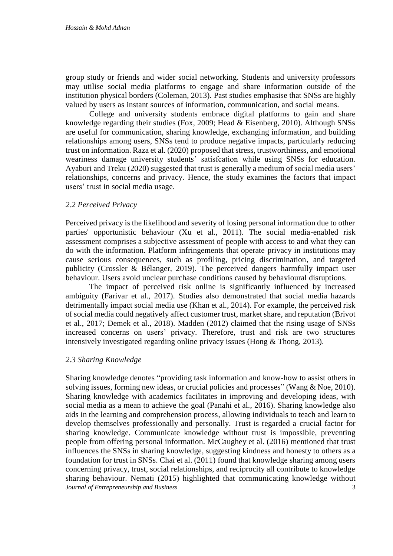group study or friends and wider social networking. Students and university professors may utilise social media platforms to engage and share information outside of the institution physical borders (Coleman, 2013). Past studies emphasise that SNSs are highly valued by users as instant sources of information, communication, and social means.

College and university students embrace digital platforms to gain and share knowledge regarding their studies (Fox, 2009; Head & Eisenberg, 2010). Although SNSs are useful for communication, sharing knowledge, exchanging information, and building relationships among users, SNSs tend to produce negative impacts, particularly reducing trust on information. Raza et al. (2020) proposed that stress, trustworthiness, and emotional weariness damage university students' satisfcation while using SNSs for education. Ayaburi and Treku (2020) suggested that trust is generally a medium of social media users' relationships, concerns and privacy. Hence, the study examines the factors that impact users' trust in social media usage.

## *2.2 Perceived Privacy*

Perceived privacy is the likelihood and severity of losing personal information due to other parties' opportunistic behaviour (Xu et al., 2011). The social media-enabled risk assessment comprises a subjective assessment of people with access to and what they can do with the information. Platform infringements that operate privacy in institutions may cause serious consequences, such as profiling, pricing discrimination, and targeted publicity (Crossler & Bélanger, 2019). The perceived dangers harmfully impact user behaviour. Users avoid unclear purchase conditions caused by behavioural disruptions.

The impact of perceived risk online is significantly influenced by increased ambiguity (Farivar et al., 2017). Studies also demonstrated that social media hazards detrimentally impact social media use (Khan et al., 2014). For example, the perceived risk of social media could negatively affect customer trust, market share, and reputation (Brivot et al., 2017; Demek et al., 2018). Madden (2012) claimed that the rising usage of SNSs increased concerns on users' privacy. Therefore, trust and risk are two structures intensively investigated regarding online privacy issues (Hong & Thong, 2013).

#### *2.3 Sharing Knowledge*

*Journal of Entrepreneurship and Business* 3 Sharing knowledge denotes "providing task information and know-how to assist others in solving issues, forming new ideas, or crucial policies and processes" (Wang & Noe, 2010). Sharing knowledge with academics facilitates in improving and developing ideas, with social media as a mean to achieve the goal (Panahi et al., 2016). Sharing knowledge also aids in the learning and comprehension process, allowing individuals to teach and learn to develop themselves professionally and personally. Trust is regarded a crucial factor for sharing knowledge. Communicate knowledge without trust is impossible, preventing people from offering personal information. McCaughey et al. (2016) mentioned that trust influences the SNSs in sharing knowledge, suggesting kindness and honesty to others as a foundation for trust in SNSs. Chai et al. (2011) found that knowledge sharing among users concerning privacy, trust, social relationships, and reciprocity all contribute to knowledge sharing behaviour. Nemati (2015) highlighted that communicating knowledge without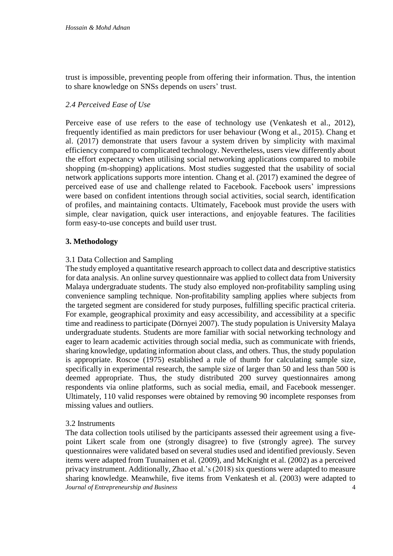trust is impossible, preventing people from offering their information. Thus, the intention to share knowledge on SNSs depends on users' trust.

### *2.4 Perceived Ease of Use*

Perceive ease of use refers to the ease of technology use (Venkatesh et al., 2012), frequently identified as main predictors for user behaviour (Wong et al., 2015). Chang et al. (2017) demonstrate that users favour a system driven by simplicity with maximal efficiency compared to complicated technology. Nevertheless, users view differently about the effort expectancy when utilising social networking applications compared to mobile shopping (m-shopping) applications. Most studies suggested that the usability of social network applications supports more intention. Chang et al. (2017) examined the degree of perceived ease of use and challenge related to Facebook. Facebook users' impressions were based on confident intentions through social activities, social search, identification of profiles, and maintaining contacts. Ultimately, Facebook must provide the users with simple, clear navigation, quick user interactions, and enjoyable features. The facilities form easy-to-use concepts and build user trust.

## **3. Methodology**

## 3.1 Data Collection and Sampling

The study employed a quantitative research approach to collect data and descriptive statistics for data analysis. An online survey questionnaire was applied to collect data from University Malaya undergraduate students. The study also employed non-profitability sampling using convenience sampling technique. Non-profitability sampling applies where subjects from the targeted segment are considered for study purposes, fulfilling specific practical criteria. For example, geographical proximity and easy accessibility, and accessibility at a specific time and readiness to participate (Dörnyei 2007). The study population is University Malaya undergraduate students. Students are more familiar with social networking technology and eager to learn academic activities through social media, such as communicate with friends, sharing knowledge, updating information about class, and others. Thus, the study population is appropriate. Roscoe (1975) established a rule of thumb for calculating sample size, specifically in experimental research, the sample size of larger than 50 and less than 500 is deemed appropriate. Thus, the study distributed 200 survey questionnaires among respondents via online platforms, such as social media, email, and Facebook messenger. Ultimately, 110 valid responses were obtained by removing 90 incomplete responses from missing values and outliers.

#### 3.2 Instruments

*Journal of Entrepreneurship and Business* 4 The data collection tools utilised by the participants assessed their agreement using a fivepoint Likert scale from one (strongly disagree) to five (strongly agree). The survey questionnaires were validated based on several studies used and identified previously. Seven items were adapted from Tuunainen et al. (2009), and McKnight et al. (2002) as a perceived privacy instrument. Additionally, Zhao et al.'s (2018) six questions were adapted to measure sharing knowledge. Meanwhile, five items from Venkatesh et al. (2003) were adapted to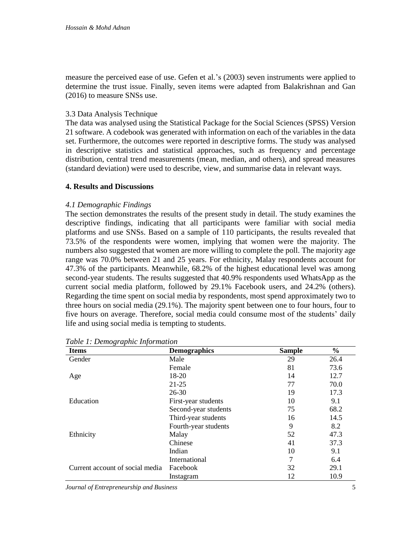measure the perceived ease of use. Gefen et al.'s (2003) seven instruments were applied to determine the trust issue. Finally, seven items were adapted from Balakrishnan and Gan (2016) to measure SNSs use.

### 3.3 Data Analysis Technique

The data was analysed using the Statistical Package for the Social Sciences (SPSS) Version 21 software. A codebook was generated with information on each of the variables in the data set. Furthermore, the outcomes were reported in descriptive forms. The study was analysed in descriptive statistics and statistical approaches, such as frequency and percentage distribution, central trend measurements (mean, median, and others), and spread measures (standard deviation) were used to describe, view, and summarise data in relevant ways.

## **4. Results and Discussions**

#### *4.1 Demographic Findings*

The section demonstrates the results of the present study in detail. The study examines the descriptive findings, indicating that all participants were familiar with social media platforms and use SNSs. Based on a sample of 110 participants, the results revealed that 73.5% of the respondents were women, implying that women were the majority. The numbers also suggested that women are more willing to complete the poll. The majority age range was 70.0% between 21 and 25 years. For ethnicity, Malay respondents account for 47.3% of the participants. Meanwhile, 68.2% of the highest educational level was among second-year students. The results suggested that 40.9% respondents used WhatsApp as the current social media platform, followed by 29.1% Facebook users, and 24.2% (others). Regarding the time spent on social media by respondents, most spend approximately two to three hours on social media (29.1%). The majority spent between one to four hours, four to five hours on average. Therefore, social media could consume most of the students' daily life and using social media is tempting to students.

| <b>Items</b>                    | <b>Demographics</b>  | <b>Sample</b> | $\frac{6}{6}$ |
|---------------------------------|----------------------|---------------|---------------|
| Gender                          | Male                 | 29            | 26.4          |
|                                 | Female               | 81            | 73.6          |
| Age                             | 18-20                | 14            | 12.7          |
|                                 | $21 - 25$            | 77            | 70.0          |
|                                 | $26 - 30$            | 19            | 17.3          |
| Education                       | First-year students  | 10            | 9.1           |
|                                 | Second-year students | 75            | 68.2          |
|                                 | Third-year students  | 16            | 14.5          |
|                                 | Fourth-year students | 9             | 8.2           |
| Ethnicity                       | Malay                | 52            | 47.3          |
|                                 | Chinese              | 41            | 37.3          |
|                                 | Indian               | 10            | 9.1           |
|                                 | International        | 7             | 6.4           |
| Current account of social media | Facebook             | 32            | 29.1          |
|                                 | Instagram            | 12            | 10.9          |

*Table 1: Demographic Information*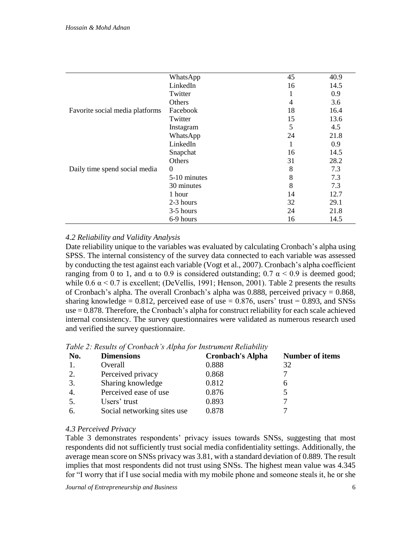|                                 | WhatsApp     | 45 | 40.9 |
|---------------------------------|--------------|----|------|
|                                 | LinkedIn     | 16 | 14.5 |
|                                 | Twitter      |    | 0.9  |
|                                 | Others       | 4  | 3.6  |
| Favorite social media platforms | Facebook     | 18 | 16.4 |
|                                 | Twitter      | 15 | 13.6 |
|                                 | Instagram    | 5  | 4.5  |
|                                 | WhatsApp     | 24 | 21.8 |
|                                 | LinkedIn     | 1  | 0.9  |
|                                 | Snapchat     | 16 | 14.5 |
|                                 | Others       | 31 | 28.2 |
| Daily time spend social media   | $\Omega$     | 8  | 7.3  |
|                                 | 5-10 minutes | 8  | 7.3  |
|                                 | 30 minutes   | 8  | 7.3  |
|                                 | 1 hour       | 14 | 12.7 |
|                                 | 2-3 hours    | 32 | 29.1 |
|                                 | 3-5 hours    | 24 | 21.8 |
|                                 | 6-9 hours    | 16 | 14.5 |

## *4.2 Reliability and Validity Analysis*

Date reliability unique to the variables was evaluated by calculating Cronbach's alpha using SPSS. The internal consistency of the survey data connected to each variable was assessed by conducting the test against each variable (Vogt et al., 2007). Cronbach's alpha coefficient ranging from 0 to 1, and  $\alpha$  to 0.9 is considered outstanding; 0.7  $\alpha$  < 0.9 is deemed good; while  $0.6 \alpha \le 0.7$  is excellent; (DeVellis, 1991; Henson, 2001). Table 2 presents the results of Cronbach's alpha. The overall Cronbach's alpha was 0.888, perceived privacy  $= 0.868$ , sharing knowledge =  $0.812$ , perceived ease of use =  $0.876$ , users' trust =  $0.893$ , and SNSs use = 0.878. Therefore, the Cronbach's alpha for construct reliability for each scale achieved internal consistency. The survey questionnaires were validated as numerous research used and verified the survey questionnaire.

| No. | <b>Dimensions</b>           | <b>Cronbach's Alpha</b> | <b>Number of items</b> |
|-----|-----------------------------|-------------------------|------------------------|
|     | Overall                     | 0.888                   | 32                     |
| 2.  | Perceived privacy           | 0.868                   |                        |
| 3.  | Sharing knowledge           | 0.812                   | h                      |
| 4.  | Perceived ease of use       | 0.876                   |                        |
| 5.  | Users' trust                | 0.893                   | ⇁                      |
| 6.  | Social networking sites use | 0.878                   |                        |
|     |                             |                         |                        |

*Table 2: Results of Cronbach's Alpha for Instrument Reliability*

#### *4.3 Perceived Privacy*

Table 3 demonstrates respondents' privacy issues towards SNSs, suggesting that most respondents did not sufficiently trust social media confidentiality settings. Additionally, the average mean score on SNSs privacy was 3.81, with a standard deviation of 0.889. The result implies that most respondents did not trust using SNSs. The highest mean value was 4.345 for "I worry that if I use social media with my mobile phone and someone steals it, he or she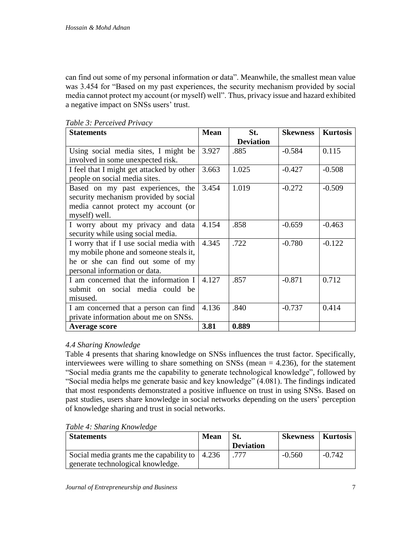can find out some of my personal information or data". Meanwhile, the smallest mean value was 3.454 for "Based on my past experiences, the security mechanism provided by social media cannot protect my account (or myself) well". Thus, privacy issue and hazard exhibited a negative impact on SNSs users' trust.

| <b>Statements</b>                         | <b>Mean</b> | St.              | <b>Skewness</b> | <b>Kurtosis</b> |
|-------------------------------------------|-------------|------------------|-----------------|-----------------|
|                                           |             | <b>Deviation</b> |                 |                 |
| Using social media sites, I might be      | 3.927       | .885             | $-0.584$        | 0.115           |
| involved in some unexpected risk.         |             |                  |                 |                 |
| I feel that I might get attacked by other | 3.663       | 1.025            | $-0.427$        | $-0.508$        |
| people on social media sites.             |             |                  |                 |                 |
| Based on my past experiences, the         | 3.454       | 1.019            | $-0.272$        | $-0.509$        |
| security mechanism provided by social     |             |                  |                 |                 |
| media cannot protect my account (or       |             |                  |                 |                 |
| myself) well.                             |             |                  |                 |                 |
| I worry about my privacy and data         | 4.154       | .858             | $-0.659$        | $-0.463$        |
| security while using social media.        |             |                  |                 |                 |
| I worry that if I use social media with   | 4.345       | .722             | $-0.780$        | $-0.122$        |
| my mobile phone and someone steals it,    |             |                  |                 |                 |
| he or she can find out some of my         |             |                  |                 |                 |
| personal information or data.             |             |                  |                 |                 |
| I am concerned that the information I     | 4.127       | .857             | $-0.871$        | 0.712           |
| submit on social media could be           |             |                  |                 |                 |
| misused.                                  |             |                  |                 |                 |
| I am concerned that a person can find     | 4.136       | .840             | $-0.737$        | 0.414           |
| private information about me on SNSs.     |             |                  |                 |                 |
| <b>Average score</b>                      | 3.81        | 0.889            |                 |                 |

*Table 3: Perceived Privacy*

#### *4.4 Sharing Knowledge*

Table 4 presents that sharing knowledge on SNSs influences the trust factor. Specifically, interviewees were willing to share something on SNSs (mean  $=$  4.236), for the statement "Social media grants me the capability to generate technological knowledge", followed by "Social media helps me generate basic and key knowledge" (4.081). The findings indicated that most respondents demonstrated a positive influence on trust in using SNSs. Based on past studies, users share knowledge in social networks depending on the users' perception of knowledge sharing and trust in social networks.

| Table 4: Sharing Knowledge |  |
|----------------------------|--|
|----------------------------|--|

| <b>Statements</b>                                              | <b>Mean</b> | St.              | <b>Skewness</b>   Kurtosis |          |
|----------------------------------------------------------------|-------------|------------------|----------------------------|----------|
|                                                                |             | <b>Deviation</b> |                            |          |
| Social media grants me the capability to $\vert 4.236 \rangle$ |             | .777             | $-0.560$                   | $-0.742$ |
| generate technological knowledge.                              |             |                  |                            |          |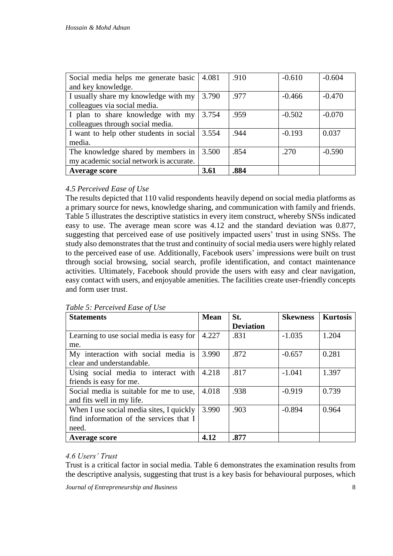| Social media helps me generate basic    | 4.081 | .910 | $-0.610$ | $-0.604$ |
|-----------------------------------------|-------|------|----------|----------|
| and key knowledge.                      |       |      |          |          |
| I usually share my knowledge with my    | 3.790 | .977 | $-0.466$ | $-0.470$ |
| colleagues via social media.            |       |      |          |          |
| I plan to share knowledge with my       | 3.754 | .959 | $-0.502$ | $-0.070$ |
| colleagues through social media.        |       |      |          |          |
| I want to help other students in social | 3.554 | .944 | $-0.193$ | 0.037    |
| media.                                  |       |      |          |          |
| The knowledge shared by members in      | 3.500 | .854 | .270     | $-0.590$ |
| my academic social network is accurate. |       |      |          |          |
| <b>Average score</b>                    | 3.61  | .884 |          |          |

## *4.5 Perceived Ease of Use*

The results depicted that 110 valid respondents heavily depend on social media platforms as a primary source for news, knowledge sharing, and communication with family and friends. Table 5 illustrates the descriptive statistics in every item construct, whereby SNSs indicated easy to use. The average mean score was 4.12 and the standard deviation was 0.877, suggesting that perceived ease of use positively impacted users' trust in using SNSs. The study also demonstrates that the trust and continuity of social media users were highly related to the perceived ease of use. Additionally, Facebook users' impressions were built on trust through social browsing, social search, profile identification, and contact maintenance activities. Ultimately, Facebook should provide the users with easy and clear navigation, easy contact with users, and enjoyable amenities. The facilities create user-friendly concepts and form user trust.

| <b>Statements</b>                        | <b>Mean</b> | St.              | <b>Skewness</b> | <b>Kurtosis</b> |
|------------------------------------------|-------------|------------------|-----------------|-----------------|
|                                          |             | <b>Deviation</b> |                 |                 |
| Learning to use social media is easy for | 4.227       | .831             | $-1.035$        | 1.204           |
| me.                                      |             |                  |                 |                 |
| My interaction with social media is      | 3.990       | .872             | $-0.657$        | 0.281           |
| clear and understandable.                |             |                  |                 |                 |
| Using social media to interact with      | 4.218       | .817             | $-1.041$        | 1.397           |
| friends is easy for me.                  |             |                  |                 |                 |
| Social media is suitable for me to use,  | 4.018       | .938             | $-0.919$        | 0.739           |
| and fits well in my life.                |             |                  |                 |                 |
| When I use social media sites, I quickly | 3.990       | .903             | $-0.894$        | 0.964           |
| find information of the services that I  |             |                  |                 |                 |
| need.                                    |             |                  |                 |                 |
| <b>Average score</b>                     | 4.12        | .877             |                 |                 |

#### *Table 5: Perceived Ease of Use*

#### *4.6 Users' Trust*

Trust is a critical factor in social media. Table 6 demonstrates the examination results from the descriptive analysis, suggesting that trust is a key basis for behavioural purposes, which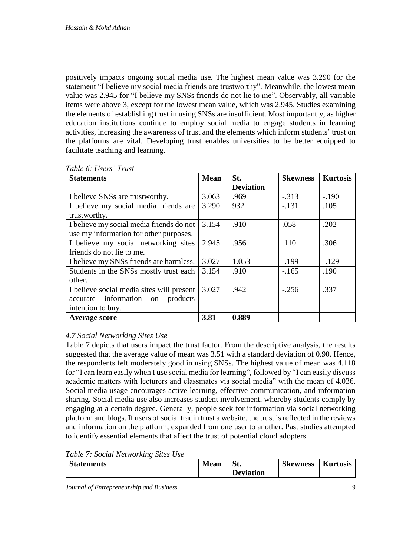positively impacts ongoing social media use. The highest mean value was 3.290 for the statement "I believe my social media friends are trustworthy". Meanwhile, the lowest mean value was 2.945 for "I believe my SNSs friends do not lie to me". Observably, all variable items were above 3, except for the lowest mean value, which was 2.945. Studies examining the elements of establishing trust in using SNSs are insufficient. Most importantly, as higher education institutions continue to employ social media to engage students in learning activities, increasing the awareness of trust and the elements which inform students' trust on the platforms are vital. Developing trust enables universities to be better equipped to facilitate teaching and learning.

| <b>Statements</b>                         | <b>Mean</b> | St.              | <b>Skewness</b> | <b>Kurtosis</b> |
|-------------------------------------------|-------------|------------------|-----------------|-----------------|
|                                           |             | <b>Deviation</b> |                 |                 |
| I believe SNSs are trustworthy.           | 3.063       | .969             | $-.313$         | $-.190$         |
| I believe my social media friends are     | 3.290       | 932              | $-.131$         | .105            |
| trustworthy.                              |             |                  |                 |                 |
| I believe my social media friends do not  | 3.154       | .910             | .058            | .202            |
| use my information for other purposes.    |             |                  |                 |                 |
| I believe my social networking sites      | 2.945       | .956             | .110            | .306            |
| friends do not lie to me.                 |             |                  |                 |                 |
| I believe my SNSs friends are harmless.   | 3.027       | 1.053            | $-.199$         | $-129$          |
| Students in the SNSs mostly trust each    | 3.154       | .910             | $-.165$         | .190            |
| other.                                    |             |                  |                 |                 |
| I believe social media sites will present | 3.027       | .942             | $-.256$         | .337            |
| accurate information on products          |             |                  |                 |                 |
| intention to buy.                         |             |                  |                 |                 |
| <b>Average score</b>                      | 3.81        | 0.889            |                 |                 |

#### *Table 6: Users' Trust*

## *4.7 Social Networking Sites Use*

Table 7 depicts that users impact the trust factor. From the descriptive analysis, the results suggested that the average value of mean was 3.51 with a standard deviation of 0.90. Hence, the respondents felt moderately good in using SNSs. The highest value of mean was 4.118 for "I can learn easily when I use social media for learning", followed by "I can easily discuss academic matters with lecturers and classmates via social media" with the mean of 4.036. Social media usage encourages active learning, effective communication, and information sharing. Social media use also increases student involvement, whereby students comply by engaging at a certain degree. Generally, people seek for information via social networking platform and blogs. If users of social tradin trust a website, the trust is reflected in the reviews and information on the platform, expanded from one user to another. Past studies attempted to identify essential elements that affect the trust of potential cloud adopters.

*Table 7: Social Networking Sites Use*

| <b>Statements</b> | <b>Mean</b> | St.              | <b>Skewness</b> | <b>Kurtosis</b> |
|-------------------|-------------|------------------|-----------------|-----------------|
|                   |             | <b>Deviation</b> |                 |                 |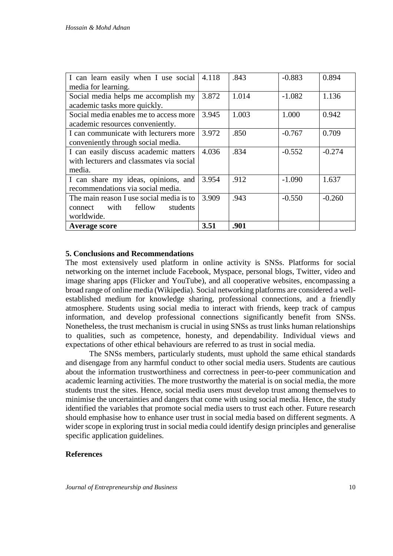| I can learn easily when I use social     | 4.118 | .843  | $-0.883$ | 0.894    |
|------------------------------------------|-------|-------|----------|----------|
| media for learning.                      |       |       |          |          |
| Social media helps me accomplish my      | 3.872 | 1.014 | $-1.082$ | 1.136    |
| academic tasks more quickly.             |       |       |          |          |
| Social media enables me to access more   | 3.945 | 1.003 | 1.000    | 0.942    |
| academic resources conveniently.         |       |       |          |          |
| I can communicate with lecturers more    | 3.972 | .850  | $-0.767$ | 0.709    |
| conveniently through social media.       |       |       |          |          |
| I can easily discuss academic matters    | 4.036 | .834  | $-0.552$ | $-0.274$ |
| with lecturers and classmates via social |       |       |          |          |
| media.                                   |       |       |          |          |
| I can share my ideas, opinions, and      | 3.954 | .912  | $-1.090$ | 1.637    |
| recommendations via social media.        |       |       |          |          |
| The main reason I use social media is to | 3.909 | .943  | $-0.550$ | $-0.260$ |
| with<br>fellow<br>students<br>connect    |       |       |          |          |
| worldwide.                               |       |       |          |          |
| <b>Average score</b>                     | 3.51  | .901  |          |          |

#### **5. Conclusions and Recommendations**

The most extensively used platform in online activity is SNSs. Platforms for social networking on the internet include Facebook, Myspace, personal blogs, Twitter, video and image sharing apps (Flicker and YouTube), and all cooperative websites, encompassing a broad range of online media (Wikipedia). Social networking platforms are considered a wellestablished medium for knowledge sharing, professional connections, and a friendly atmosphere. Students using social media to interact with friends, keep track of campus information, and develop professional connections significantly benefit from SNSs. Nonetheless, the trust mechanism is crucial in using SNSs as trust links human relationships to qualities, such as competence, honesty, and dependability. Individual views and expectations of other ethical behaviours are referred to as trust in social media.

The SNSs members, particularly students, must uphold the same ethical standards and disengage from any harmful conduct to other social media users. Students are cautious about the information trustworthiness and correctness in peer-to-peer communication and academic learning activities. The more trustworthy the material is on social media, the more students trust the sites. Hence, social media users must develop trust among themselves to minimise the uncertainties and dangers that come with using social media. Hence, the study identified the variables that promote social media users to trust each other. Future research should emphasise how to enhance user trust in social media based on different segments. A wider scope in exploring trust in social media could identify design principles and generalise specific application guidelines.

#### **References**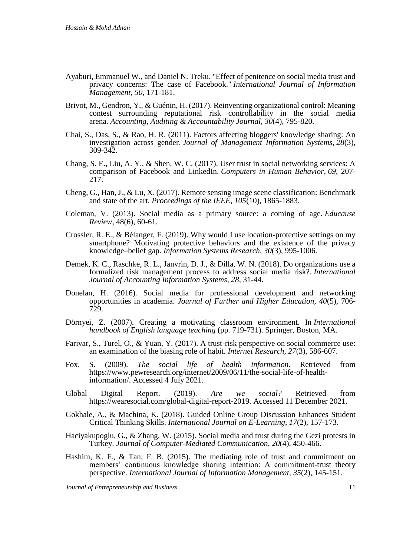- Ayaburi, Emmanuel W., and Daniel N. Treku. "Effect of penitence on social media trust and privacy concerns: The case of Facebook." *International Journal of Information Management*, *50*, 171-181.
- Brivot, M., Gendron, Y., & Guénin, H. (2017). Reinventing organizational control: Meaning contest surrounding reputational risk controllability in the social media arena. *Accounting, Auditing & Accountability Journal*, *30*(4), 795-820.
- Chai, S., Das, S., & Rao, H. R. (2011). Factors affecting bloggers' knowledge sharing: An investigation across gender. *Journal of Management Information Systems*, *28*(3), 309-342.
- Chang, S. E., Liu, A. Y., & Shen, W. C. (2017). User trust in social networking services: A comparison of Facebook and LinkedIn. *Computers in Human Behavior*, *69*, 207- 217.
- Cheng, G., Han, J., & Lu, X. (2017). Remote sensing image scene classification: Benchmark and state of the art. *Proceedings of the IEEE*, *105*(10), 1865-1883.
- Coleman, V. (2013). Social media as a primary source: a coming of age. *Educause Review*, 48(6), 60-61.
- Crossler, R. E., & Bélanger, F. (2019). Why would I use location-protective settings on my smartphone? Motivating protective behaviors and the existence of the privacy knowledge–belief gap. *Information Systems Research*, *30*(3), 995-1006.
- Demek, K. C., Raschke, R. L., Janvrin, D. J., & Dilla, W. N. (2018). Do organizations use a formalized risk management process to address social media risk?. *International Journal of Accounting Information Systems*, *28*, 31-44.
- Donelan, H. (2016). Social media for professional development and networking opportunities in academia. *Journal of Further and Higher Education, 40*(5), 706- 729.
- Dörnyei, Z. (2007). Creating a motivating classroom environment. In *International handbook of English language teaching* (pp. 719-731). Springer, Boston, MA.
- Farivar, S., Turel, O., & Yuan, Y. (2017). A trust-risk perspective on social commerce use: an examination of the biasing role of habit. *Internet Research*, *27*(3), 586-607.
- Fox, S. (2009). *The social life of health information.* Retrieved from https://www.pewresearch.org/internet/2009/06/11/the-social-life-of-healthinformation/. Accessed 4 July 2021.
- Global Digital Report. (2019). *Are we social?* Retrieved from [https://wearesocial.com/global-digital-report-2019. Accessed 11 December 2021.](https://wearesocial.com/global-digital-report-2019.%20Accessed%2011%20December%202021)
- Gokhale, A., & Machina, K. (2018). Guided Online Group Discussion Enhances Student Critical Thinking Skills. *International Journal on E-Learning, 17*(2), 157-173.
- Haciyakupoglu, G., & Zhang, W. (2015). Social media and trust during the Gezi protests in Turkey. *Journal of Computer-Mediated Communication*, *20*(4), 450-466.
- Hashim, K. F., & Tan, F. B. (2015). The mediating role of trust and commitment on members' continuous knowledge sharing intention: A commitment-trust theory perspective. *International Journal of Information Management*, *35*(2), 145-151.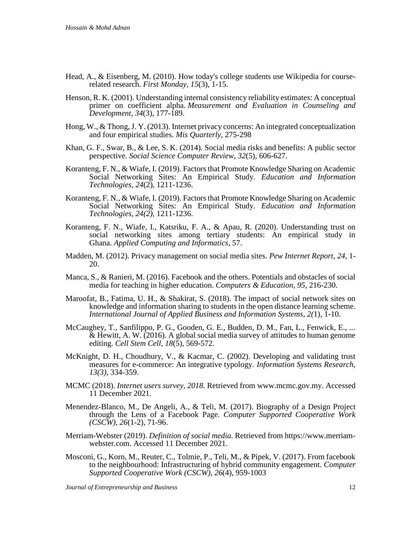- Head, A., & Eisenberg, M. (2010). How today's college students use Wikipedia for courserelated research. *First Monday, 15*(3), 1-15.
- Henson, R. K. (2001). Understanding internal consistency reliability estimates: A conceptual primer on coefficient alpha. *Measurement and Evaluation in Counseling and Development*, *34*(3), 177-189.
- Hong, W., & Thong, J. Y. (2013). Internet privacy concerns: An integrated conceptualization and four empirical studies. *Mis Quarterly*, 275-298
- Khan, G. F., Swar, B., & Lee, S. K. (2014). Social media risks and benefits: A public sector perspective. *Social Science Computer Review*, *32*(5), 606-627.
- Koranteng, F. N., & Wiafe, I. (2019). Factors that Promote Knowledge Sharing on Academic Social Networking Sites: An Empirical Study. *Education and Information Technologies, 24*(2), 1211-1236.
- Koranteng, F. N., & Wiafe, I. (2019). Factors that Promote Knowledge Sharing on Academic Social Networking Sites: An Empirical Study. *Education and Information Technologies, 24(2),* 1211-1236.
- Koranteng, F. N., Wiafe, I., Katsriku, F. A., & Apau, R. (2020). Understanding trust on social networking sites among tertiary students: An empirical study in Ghana. *Applied Computing and Informatics*, 57.
- Madden, M. (2012). Privacy management on social media sites. *Pew Internet Report*, *24*, 1- 20.
- Manca, S., & Ranieri, M. (2016). Facebook and the others. Potentials and obstacles of social media for teaching in higher education. *Computers & Education*, *95*, 216-230.
- Maroofat, B., Fatima, U. H., & Shakirat, S. (2018). The impact of social network sites on knowledge and information sharing to students in the open distance learning scheme. *International Journal of Applied Business and Information Systems*, *2(*1), 1-10.
- McCaughey, T., Sanfilippo, P. G., Gooden, G. E., Budden, D. M., Fan, L., Fenwick, E., ... & Hewitt, A. W. (2016). A global social media survey of attitudes to human genome editing. *Cell Stem Cell*, *18*(5), 569-572.
- McKnight, D. H., Choudhury, V., & Kacmar, C. (2002). Developing and validating trust measures for e-commerce: An integrative typology. *Information Systems Research, 13(3),* 334-359.
- MCMC (2018). *Internet users survey, 2018.* Retrieved from [www.mcmc.gov.my.](http://www.mcmc.gov.my/) Accessed 11 December 2021.
- Menendez-Blanco, M., De Angeli, A., & Teli, M. (2017). Biography of a Design Project through the Lens of a Facebook Page. *Computer Supported Cooperative Work (CSCW), 26*(1-2), 71-96.
- Merriam-Webster (2019). *Definition of social media.* Retrieved from [https://www.merriam](https://www.merriam-webster.com/dictionary/social%20media)[webster.com.](https://www.merriam-webster.com/dictionary/social%20media) Accessed 11 December 2021.
- Mosconi, G., Korn, M., Reuter, C., Tolmie, P., Teli, M., & Pipek, V. (2017). From facebook to the neighbourhood: Infrastructuring of hybrid community engagement. *Computer Supported Cooperative Work (CSCW)*, *26*(4), 959-1003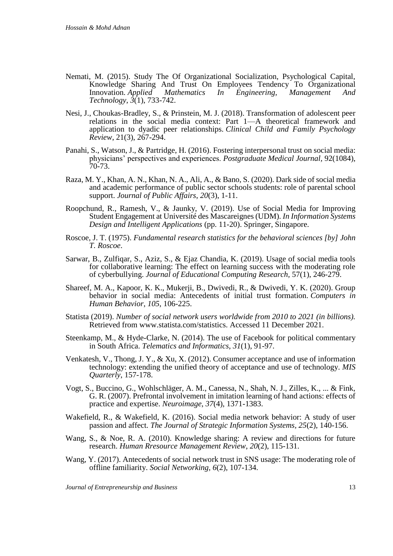- Nemati, M. (2015). Study The Of Organizational Socialization, Psychological Capital, Knowledge Sharing And Trust On Employees Tendency To Organizational Innovation. Applied Mathematics In Engineering, Management And Innovation. *Applied Mathematics In Engineering, Management And Technology*, *3*(1), 733-742.
- Nesi, J., Choukas-Bradley, S., & Prinstein, M. J. (2018). Transformation of adolescent peer relations in the social media context: Part 1—A theoretical framework and application to dyadic peer relationships. *Clinical Child and Family Psychology Review*, 21(3), 267-294.
- Panahi, S., Watson, J., & Partridge, H. (2016). Fostering interpersonal trust on social media: physicians' perspectives and experiences. *Postgraduate Medical Journal,* 92(1084), 70-73.
- Raza, M. Y., Khan, A. N., Khan, N. A., Ali, A., & Bano, S. (2020). Dark side of social media and academic performance of public sector schools students: role of parental school support. *Journal of Public Affairs*, *20*(3), 1-11.
- Roopchund, R., Ramesh, V., & Jaunky, V. (2019). Use of Social Media for Improving Student Engagement at Université des Mascareignes (UDM). *In Information Systems Design and Intelligent Applications* (pp. 11-20). Springer, Singapore.
- Roscoe, J. T. (1975). *Fundamental research statistics for the behavioral sciences [by] John T. Roscoe*.
- Sarwar, B., Zulfiqar, S., Aziz, S., & Ejaz Chandia, K. (2019). Usage of social media tools for collaborative learning: The effect on learning success with the moderating role of cyberbullying. *Journal of Educational Computing Research,* 57(1), 246-279.
- Shareef, M. A., Kapoor, K. K., Mukerji, B., Dwivedi, R., & Dwivedi, Y. K. (2020). Group behavior in social media: Antecedents of initial trust formation. *Computers in Human Behavior*, *105*, 106-225.
- Statista (2019). *Number of social network users worldwide from 2010 to 2021 (in billions).* Retrieved from [www.statista.com/statistics. Accessed 11 December 2021.](http://www.statista.com/statistics.%20Accessed%2011%20December%202021)
- Steenkamp, M., & Hyde-Clarke, N. (2014). The use of Facebook for political commentary in South Africa. *Telematics and Informatics*, *31*(1), 91-97.
- Venkatesh, V., Thong, J. Y., & Xu, X. (2012). Consumer acceptance and use of information technology: extending the unified theory of acceptance and use of technology. *MIS Quarterly*, 157-178.
- Vogt, S., Buccino, G., Wohlschläger, A. M., Canessa, N., Shah, N. J., Zilles, K., ... & Fink, G. R. (2007). Prefrontal involvement in imitation learning of hand actions: effects of practice and expertise. *Neuroimage*, *37*(4), 1371-1383.
- Wakefield, R., & Wakefield, K. (2016). Social media network behavior: A study of user passion and affect. *The Journal of Strategic Information Systems, 25*(2), 140-156.
- Wang, S., & Noe, R. A. (2010). Knowledge sharing: A review and directions for future research. *Human Rresource Management Review*, *20*(2), 115-131.
- Wang, Y. (2017). Antecedents of social network trust in SNS usage: The moderating role of offline familiarity. *Social Networking, 6*(2), 107-134.